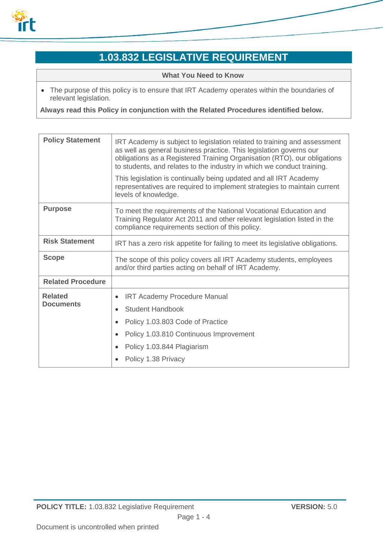

# **1.03.832 LEGISLATIVE REQUIREMENT**

**What You Need to Know**

 The purpose of this policy is to ensure that IRT Academy operates within the boundaries of relevant legislation.

**Always read this Policy in conjunction with the Related Procedures identified below.**

| <b>Policy Statement</b>            | IRT Academy is subject to legislation related to training and assessment<br>as well as general business practice. This legislation governs our<br>obligations as a Registered Training Organisation (RTO), our obligations<br>to students, and relates to the industry in which we conduct training.<br>This legislation is continually being updated and all IRT Academy<br>representatives are required to implement strategies to maintain current<br>levels of knowledge. |
|------------------------------------|-------------------------------------------------------------------------------------------------------------------------------------------------------------------------------------------------------------------------------------------------------------------------------------------------------------------------------------------------------------------------------------------------------------------------------------------------------------------------------|
|                                    |                                                                                                                                                                                                                                                                                                                                                                                                                                                                               |
| <b>Purpose</b>                     | To meet the requirements of the National Vocational Education and<br>Training Regulator Act 2011 and other relevant legislation listed in the<br>compliance requirements section of this policy.                                                                                                                                                                                                                                                                              |
| <b>Risk Statement</b>              | IRT has a zero risk appetite for failing to meet its legislative obligations.                                                                                                                                                                                                                                                                                                                                                                                                 |
| <b>Scope</b>                       | The scope of this policy covers all IRT Academy students, employees<br>and/or third parties acting on behalf of IRT Academy.                                                                                                                                                                                                                                                                                                                                                  |
| <b>Related Procedure</b>           |                                                                                                                                                                                                                                                                                                                                                                                                                                                                               |
| <b>Related</b><br><b>Documents</b> | <b>IRT Academy Procedure Manual</b><br>$\bullet$                                                                                                                                                                                                                                                                                                                                                                                                                              |
|                                    | <b>Student Handbook</b>                                                                                                                                                                                                                                                                                                                                                                                                                                                       |
|                                    | Policy 1.03.803 Code of Practice                                                                                                                                                                                                                                                                                                                                                                                                                                              |
|                                    | Policy 1.03.810 Continuous Improvement                                                                                                                                                                                                                                                                                                                                                                                                                                        |
|                                    | Policy 1.03.844 Plagiarism                                                                                                                                                                                                                                                                                                                                                                                                                                                    |
|                                    | Policy 1.38 Privacy                                                                                                                                                                                                                                                                                                                                                                                                                                                           |
|                                    |                                                                                                                                                                                                                                                                                                                                                                                                                                                                               |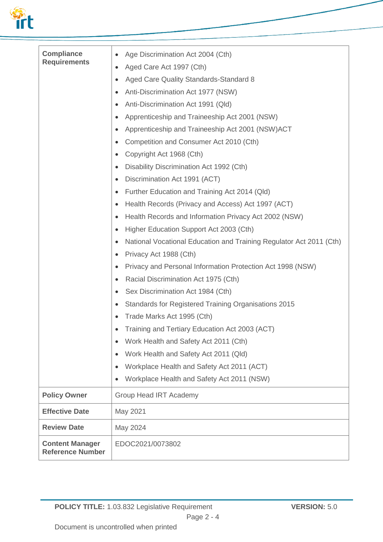

| <b>Compliance</b><br><b>Requirements</b>          | Age Discrimination Act 2004 (Cth)<br>$\bullet$<br>Aged Care Act 1997 (Cth)<br>Aged Care Quality Standards-Standard 8<br>Anti-Discrimination Act 1977 (NSW)<br>Anti-Discrimination Act 1991 (Qld)<br>Apprenticeship and Traineeship Act 2001 (NSW)<br>Apprenticeship and Traineeship Act 2001 (NSW)ACT<br>Competition and Consumer Act 2010 (Cth)<br>Copyright Act 1968 (Cth)<br>Disability Discrimination Act 1992 (Cth)<br>Discrimination Act 1991 (ACT)<br>Further Education and Training Act 2014 (Qld)<br>Health Records (Privacy and Access) Act 1997 (ACT)<br>Health Records and Information Privacy Act 2002 (NSW)<br>Higher Education Support Act 2003 (Cth)<br>National Vocational Education and Training Regulator Act 2011 (Cth)<br>Privacy Act 1988 (Cth)<br>Privacy and Personal Information Protection Act 1998 (NSW)<br>Racial Discrimination Act 1975 (Cth)<br>$\bullet$<br>Sex Discrimination Act 1984 (Cth)<br><b>Standards for Registered Training Organisations 2015</b><br>Trade Marks Act 1995 (Cth)<br>Training and Tertiary Education Act 2003 (ACT)<br>Work Health and Safety Act 2011 (Cth)<br>$\bullet$<br>Work Health and Safety Act 2011 (Qld)<br>$\bullet$ |
|---------------------------------------------------|------------------------------------------------------------------------------------------------------------------------------------------------------------------------------------------------------------------------------------------------------------------------------------------------------------------------------------------------------------------------------------------------------------------------------------------------------------------------------------------------------------------------------------------------------------------------------------------------------------------------------------------------------------------------------------------------------------------------------------------------------------------------------------------------------------------------------------------------------------------------------------------------------------------------------------------------------------------------------------------------------------------------------------------------------------------------------------------------------------------------------------------------------------------------------------------|
|                                                   | Workplace Health and Safety Act 2011 (ACT)                                                                                                                                                                                                                                                                                                                                                                                                                                                                                                                                                                                                                                                                                                                                                                                                                                                                                                                                                                                                                                                                                                                                               |
|                                                   | Workplace Health and Safety Act 2011 (NSW)                                                                                                                                                                                                                                                                                                                                                                                                                                                                                                                                                                                                                                                                                                                                                                                                                                                                                                                                                                                                                                                                                                                                               |
| <b>Policy Owner</b>                               | <b>Group Head IRT Academy</b>                                                                                                                                                                                                                                                                                                                                                                                                                                                                                                                                                                                                                                                                                                                                                                                                                                                                                                                                                                                                                                                                                                                                                            |
| <b>Effective Date</b>                             | May 2021                                                                                                                                                                                                                                                                                                                                                                                                                                                                                                                                                                                                                                                                                                                                                                                                                                                                                                                                                                                                                                                                                                                                                                                 |
| <b>Review Date</b>                                | May 2024                                                                                                                                                                                                                                                                                                                                                                                                                                                                                                                                                                                                                                                                                                                                                                                                                                                                                                                                                                                                                                                                                                                                                                                 |
| <b>Content Manager</b><br><b>Reference Number</b> | EDOC2021/0073802                                                                                                                                                                                                                                                                                                                                                                                                                                                                                                                                                                                                                                                                                                                                                                                                                                                                                                                                                                                                                                                                                                                                                                         |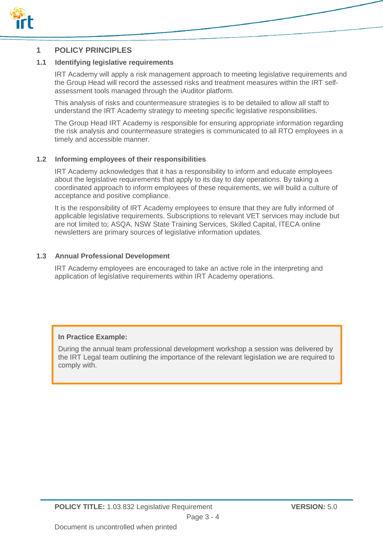

#### **1 POLICY PRINCIPLES**

#### **1.1 Identifying legislative requirements**

IRT Academy will apply a risk management approach to meeting legislative requirements and the Group Head will record the assessed risks and treatment measures within the IRT selfassessment tools managed through the iAuditor platform.

This analysis of risks and countermeasure strategies is to be detailed to allow all staff to understand the IRT Academy strategy to meeting specific legislative responsibilities.

The Group Head IRT Academy is responsible for ensuring appropriate information regarding the risk analysis and countermeasure strategies is communicated to all RTO employees in a timely and accessible manner.

#### **1.2 Informing employees of their responsibilities**

IRT Academy acknowledges that it has a responsibility to inform and educate employees about the legislative requirements that apply to its day to day operations. By taking a coordinated approach to inform employees of these requirements, we will build a culture of acceptance and positive compliance.

It is the responsibility of IRT Academy employees to ensure that they are fully informed of applicable legislative requirements. Subscriptions to relevant VET services may include but are not limited to; ASQA, NSW State Training Services, Skilled Capital, ITECA online newsletters are primary sources of legislative information updates.

#### **1.3 Annual Professional Development**

IRT Academy employees are encouraged to take an active role in the interpreting and application of legislative requirements within IRT Academy operations.

#### **In Practice Example:**

During the annual team professional development workshop a session was delivered by the IRT Legal team outlining the importance of the relevant legislation we are required to comply with.